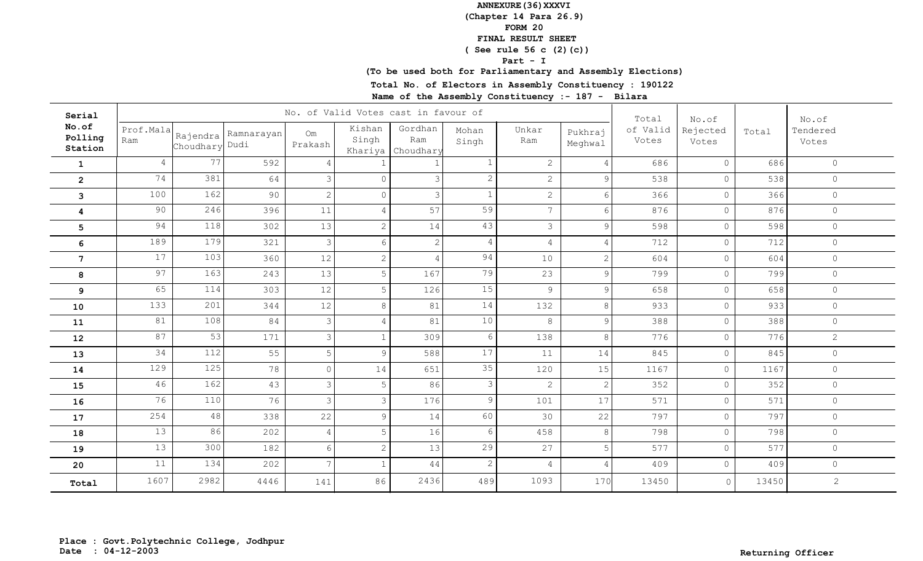**(Chapter 14 Para 26.9)**

**FORM 20**

# **FINAL RESULT SHEET**

 **( See rule 56 c (2)(c))**

**Part - I**

**(To be used both for Parliamentary and Assembly Elections)**

**Total No. of Electors in Assembly Constituency : 190122**

| Serial                      |                  |                |                       |                |                            | No. of Valid Votes cast in favour of |                |                 |                    | Total             | No.of             |       | No.of             |
|-----------------------------|------------------|----------------|-----------------------|----------------|----------------------------|--------------------------------------|----------------|-----------------|--------------------|-------------------|-------------------|-------|-------------------|
| No.of<br>Polling<br>Station | Prof.Mala<br>Ram | Choudhary Dudi | Rajendra   Ramnarayan | Om<br>Prakash  | Kishan<br>Singh<br>Khariya | Gordhan<br>Ram<br>Choudhary          | Mohan<br>Singh | Unkar<br>Ram    | Pukhraj<br>Meghwal | of Valid<br>Votes | Rejected<br>Votes | Total | Tendered<br>Votes |
| $\mathbf{1}$                | 4                | 77             | 592                   | $\overline{4}$ |                            |                                      |                | $\mathbf{2}$    | $\overline{4}$     | 686               | $\Omega$          | 686   | $\circ$           |
| $\overline{2}$              | 74               | 381            | 64                    | 3              | $\Omega$                   | $\overline{\mathcal{E}}$             | $\overline{2}$ | $\overline{2}$  | 9                  | 538               | $\mathsf{O}$      | 538   | $\circ$           |
| 3                           | 100              | 162            | 90                    | $\overline{c}$ | $\Omega$                   | $\mathcal{E}$                        | $\mathbf{1}$   | $\overline{2}$  | 6                  | 366               | $\circ$           | 366   | $\circ$           |
| 4                           | 90               | 246            | 396                   | 11             | $\overline{4}$             | 57                                   | 59             | $7\overline{ }$ | 6                  | 876               | $\circ$           | 876   | $\circ$           |
| $5\phantom{.0}$             | 94               | 118            | 302                   | 13             | $\overline{c}$             | 14                                   | 43             | $\mathcal{S}$   | $\mathcal{Q}$      | 598               | $\circ$           | 598   | $\circ$           |
| 6                           | 189              | 179            | 321                   | 3              | $6\,$                      | $\overline{2}$                       | $\overline{4}$ | $\overline{4}$  | 4                  | 712               | $\circ$           | 712   | $\circ$           |
| $7\phantom{.}$              | 17               | 103            | 360                   | 12             | $\overline{c}$             | $\overline{4}$                       | 94             | 10              | 2                  | 604               | $\circ$           | 604   | $\circ$           |
| 8                           | 97               | 163            | 243                   | 13             | $\overline{5}$             | 167                                  | 79             | 23              | 9                  | 799               | $\circ$           | 799   | $\circledcirc$    |
| 9                           | 65               | 114            | 303                   | 12             | 5                          | 126                                  | 15             | $\overline{9}$  | $\mathcal{G}$      | 658               | $\mathbb O$       | 658   | $\circ$           |
| 10                          | 133              | 201            | 344                   | 12             | 8                          | 81                                   | 14             | 132             | 8                  | 933               | $\circ$           | 933   | $\circ$           |
| 11                          | 81               | 108            | 84                    | $\mathcal{S}$  | $\overline{4}$             | 81                                   | 10             | 8               | 9                  | 388               | $\circ$           | 388   | $\circ$           |
| 12                          | 87               | 53             | 171                   | $\mathcal{S}$  | $\mathbf{1}$               | 309                                  | 6              | 138             | 8                  | 776               | $\circ$           | 776   | $\overline{2}$    |
| 13                          | 34               | 112            | 55                    | 5              | 9                          | 588                                  | 17             | 11              | 14                 | 845               | $\circ$           | 845   | $\circledcirc$    |
| 14                          | 129              | 125            | 78                    | $\circ$        | 14                         | 651                                  | 35             | 120             | 15                 | 1167              | $\circ$           | 1167  | $\circ$           |
| 15                          | 46               | 162            | 43                    | 3              | 5                          | 86                                   | $\mathfrak{Z}$ | $\mathbf{2}$    | $\mathbf{2}$       | 352               | $\circ$           | 352   | $\circ$           |
| 16                          | 76               | 110            | 76                    | 3              | $\mathcal{E}$              | 176                                  | 9              | 101             | 17                 | 571               | $\circ$           | 571   | $\circ$           |
| 17                          | 254              | 48             | 338                   | 22             | 9                          | 14                                   | 60             | 30              | 22                 | 797               | $\circ$           | 797   | $\circ$           |
| 18                          | 13               | 86             | 202                   | $\overline{4}$ | 5                          | 16                                   | 6              | 458             | 8                  | 798               | $\circ$           | 798   | $\circledcirc$    |
| 19                          | 13               | 300            | 182                   | 6              | $\sqrt{2}$                 | 13                                   | 29             | 27              | 5                  | 577               | $\circ$           | 577   | $\circ$           |
| 20                          | 11               | 134            | 202                   | $\overline{7}$ | $\mathbf{1}$               | 44                                   | $\mathbf{2}$   | $\overline{4}$  |                    | 409               | $\mathbb O$       | 409   | $\circledcirc$    |
| Total                       | 1607             | 2982           | 4446                  | 141            | 86                         | 2436                                 | 489            | 1093            | 170                | 13450             | $\circ$           | 13450 | $\overline{c}$    |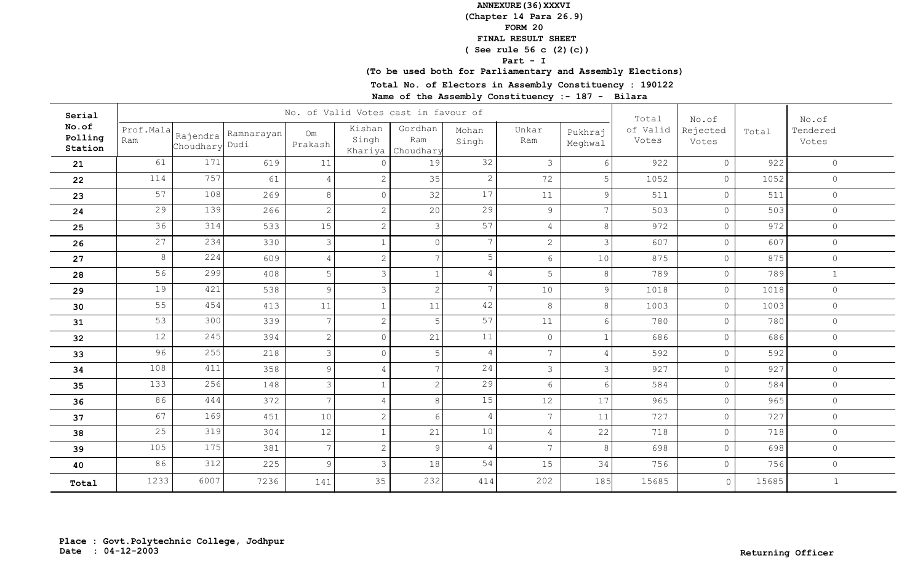**(Chapter 14 Para 26.9)**

**FORM 20**

# **FINAL RESULT SHEET**

 **( See rule 56 c (2)(c))**

**Part - I**

**(To be used both for Parliamentary and Assembly Elections)**

**Total No. of Electors in Assembly Constituency : 190122**

| Serial                      |                  |                |                       |                | No. of Valid Votes cast in favour of |                                     | Total           | No.of           |                    | No.of             |                   |       |                   |
|-----------------------------|------------------|----------------|-----------------------|----------------|--------------------------------------|-------------------------------------|-----------------|-----------------|--------------------|-------------------|-------------------|-------|-------------------|
| No.of<br>Polling<br>Station | Prof.Mala<br>Ram | Choudhary Dudi | Rajendra   Ramnarayan | Om<br>Prakash  | Kishan<br>Singh                      | Gordhan<br>Ram<br>Khariya Choudhary | Mohan<br>Singh  | Unkar<br>Ram    | Pukhraj<br>Meghwal | of Valid<br>Votes | Rejected<br>Votes | Total | Tendered<br>Votes |
| 21                          | 61               | 171            | 619                   | 11             | $\cap$                               | 19                                  | 32              | $\mathfrak{Z}$  | 6                  | 922               | $\Omega$          | 922   | $\circledcirc$    |
| 22                          | 114              | 757            | 61                    | $\overline{4}$ | $\mathbf{2}$                         | 35                                  | $\mathbf{2}$    | 72              | 5                  | 1052              | $\circ$           | 1052  | $\circledcirc$    |
| 23                          | 57               | 108            | 269                   | 8              | $\Omega$                             | 32                                  | 17              | 11              | 9                  | 511               | $\circ$           | 511   | $\circledcirc$    |
| 24                          | 29               | 139            | 266                   | 2              | $\overline{c}$                       | 20                                  | 29              | 9               | $\overline{7}$     | 503               | $\circ$           | 503   | $\circledcirc$    |
| 25                          | 36               | 314            | 533                   | 15             | $\overline{c}$                       | $\mathcal{E}$                       | 57              | $\overline{4}$  | 8                  | 972               | $\mathbb O$       | 972   | $\circ$           |
| 26                          | 27               | 234            | 330                   | 3              | $\mathbf{1}$                         | $\circ$                             | $7\overline{ }$ | $\overline{2}$  | 3                  | 607               | $\circ$           | 607   | $\circ$           |
| 27                          | 8                | 224            | 609                   | $\overline{4}$ | 2                                    | $\overline{7}$                      | 5               | $6\phantom{.}6$ | 10                 | 875               | $\circ$           | 875   | $\circ$           |
| 28                          | 56               | 299            | 408                   | 5              | $\mathcal{E}$                        | 1                                   | 4               | 5               | 8                  | 789               | $\circ$           | 789   | $\mathbf{1}$      |
| 29                          | 19               | 421            | 538                   | 9              | $\mathcal{S}$                        | $\overline{2}$                      | $7\overline{ }$ | 10              | 9                  | 1018              | $\circ$           | 1018  | $\circ$           |
| 30                          | 55               | 454            | 413                   | $11$           | $\mathbf{1}$                         | 11                                  | 42              | 8               | 8                  | 1003              | $\circ$           | 1003  | $\circ$           |
| 31                          | 53               | 300            | 339                   | $\overline{7}$ | $\overline{c}$                       | 5                                   | 57              | 11              | 6                  | 780               | $\circ$           | 780   | $\circ$           |
| 32                          | 12               | 245            | 394                   | 2              | $\circ$                              | 21                                  | 11              | $\circ$         | $\mathbf{1}$       | 686               | $\circ$           | 686   | $\circledcirc$    |
| 33                          | 96               | 255            | 218                   | 3              | $\circ$                              | 5 <sup>1</sup>                      | $\overline{4}$  | $7\overline{ }$ | $\overline{4}$     | 592               | $\mathbb O$       | 592   | $\circ$           |
| 34                          | 108              | 411            | 358                   | 9              | $\overline{4}$                       | 7 <sup>1</sup>                      | 24              | $\mathcal{S}$   | 3                  | 927               | $\circ$           | 927   | $\circledcirc$    |
| 35                          | 133              | 256            | 148                   | $\mathfrak{Z}$ | $\mathbf{1}$                         | $\overline{2}$                      | 29              | $6\overline{6}$ | 6                  | 584               | $\circ$           | 584   | $\circ$           |
| 36                          | 86               | 444            | 372                   | $\overline{7}$ | 4                                    | 8 <sup>1</sup>                      | 15              | 12              | 17                 | 965               | $\circ$           | 965   | $\circ$           |
| 37                          | 67               | 169            | 451                   | 10             | 2                                    | $6 \overline{6}$                    | $\overline{4}$  | $7\overline{ }$ | 11                 | 727               | $\circ$           | 727   | $\circledcirc$    |
| 38                          | 25               | 319            | 304                   | 12             | $\mathbf{1}$                         | 21                                  | 10              | $\overline{4}$  | 22                 | 718               | $\circ$           | 718   | $\circledcirc$    |
| 39                          | 105              | 175            | 381                   | 7              | $\mathbf{2}$                         | 9 <sup>°</sup>                      | $\overline{4}$  | $7\overline{ }$ | 8                  | 698               | $\circ$           | 698   | $\circledcirc$    |
| 40                          | 86               | 312            | 225                   | 9              | 3                                    | 18                                  | 54              | 15              | 34                 | 756               | $\circ$           | 756   | $\circledcirc$    |
| Total                       | 1233             | 6007           | 7236                  | 141            | 35                                   | 232                                 | 414             | 202             | 185                | 15685             | $\circ$           | 15685 | $1\,$             |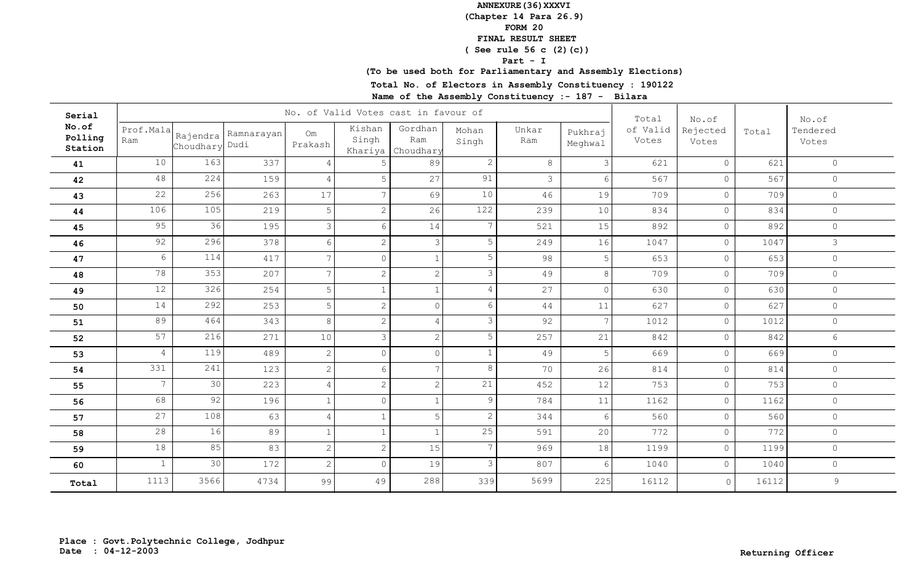**(Chapter 14 Para 26.9)**

**FORM 20**

# **FINAL RESULT SHEET**

 **( See rule 56 c (2)(c))**

**Part - I**

**(To be used both for Parliamentary and Assembly Elections)**

**Total No. of Electors in Assembly Constituency : 190122**

| Serial                      |                  |                |                       |                | No. of Valid Votes cast in favour of |                             | Total           | No.of         |                    | No.of             |                   |       |                   |
|-----------------------------|------------------|----------------|-----------------------|----------------|--------------------------------------|-----------------------------|-----------------|---------------|--------------------|-------------------|-------------------|-------|-------------------|
| No.of<br>Polling<br>Station | Prof.Mala<br>Ram | Choudhary Dudi | Rajendra   Ramnarayan | Om<br>Prakash  | Kishan<br>Singh<br>Khariya           | Gordhan<br>Ram<br>Choudhary | Mohan<br>Singh  | Unkar<br>Ram  | Pukhraj<br>Meghwal | of Valid<br>Votes | Rejected<br>Votes | Total | Tendered<br>Votes |
| 41                          | 10               | 163            | 337                   | $\overline{4}$ | -5                                   | 89                          | $\mathbf{2}$    | 8             | 3 <sup>1</sup>     | 621               | $\circ$           | 621   | $\circ$           |
| 42                          | 48               | 224            | 159                   | $\overline{4}$ | 5                                    | 27                          | 91              | $\mathcal{S}$ | 6                  | 567               | $\circ$           | 567   | $\circledcirc$    |
| 43                          | 22               | 256            | 263                   | 17             | $\overline{7}$                       | 69                          | 10              | 46            | 19                 | 709               | $\circ$           | 709   | $\circ$           |
| 44                          | 106              | 105            | 219                   | 5              | $\mathbf{2}$                         | 26                          | 122             | 239           | 10                 | 834               | $\circ$           | 834   | $\circledcirc$    |
| 45                          | 95               | 36             | 195                   | 3              | 6                                    | 14                          | $7\overline{ }$ | 521           | 15                 | 892               | $\circ$           | 892   | $\circ$           |
| 46                          | 92               | 296            | 378                   | 6              | 2                                    | $\mathfrak{Z}$              | 5               | 249           | 16                 | 1047              | $\circ$           | 1047  | 3                 |
| 47                          | 6                | 114            | 417                   | $\overline{7}$ | $\Omega$                             | $\mathbf{1}$                | 5               | 98            | 5                  | 653               | $\circ$           | 653   | $\circ$           |
| 48                          | 78               | 353            | 207                   | $\overline{7}$ | $\mathbf{2}$                         | 2                           | 3               | 49            | 8                  | 709               | $\circ$           | 709   | $\circ$           |
| 49                          | 12               | 326            | 254                   | 5              | $\mathbf{1}$                         | $\mathbf{1}$                | $\overline{4}$  | 27            | $\Omega$           | 630               | $\circ$           | 630   | $\circ$           |
| 50                          | 14               | 292            | 253                   | 5              | $\overline{c}$                       | $\circ$                     | 6               | 44            | 11                 | 627               | $\circledcirc$    | 627   | $\circ$           |
| 51                          | 89               | 464            | 343                   | 8              | $\overline{c}$                       | $\overline{4}$              | 3               | 92            | $\overline{7}$     | 1012              | $\circ$           | 1012  | $\circ$           |
| 52                          | 57               | 216            | 271                   | 10             | $\mathcal{E}$                        | $\overline{2}$              | 5               | 257           | 21                 | 842               | $\circ$           | 842   | 6                 |
| 53                          | $\overline{4}$   | 119            | 489                   | 2              | $\circ$                              | $\circ$                     | $\mathbf{1}$    | 49            | 5                  | 669               | $\circ$           | 669   | $\circ$           |
| 54                          | 331              | 241            | 123                   | 2              | 6                                    | 7 <sup>1</sup>              | 8               | 70            | 26                 | 814               | $\circ$           | 814   | $\circ$           |
| 55                          | $7\overline{ }$  | 30             | 223                   | $\overline{4}$ | 2                                    | $\mathbf{2}$                | 21              | 452           | 12                 | 753               | $\circ$           | 753   | $\circ$           |
| 56                          | 68               | 92             | 196                   | $\mathbf{1}$   | $\circ$                              | $\mathbf{1}$                | 9               | 784           | 11                 | 1162              | $\circ$           | 1162  | $\circledcirc$    |
| 57                          | 27               | 108            | 63                    | $\overline{4}$ | $\mathbf{1}$                         | 5 <sup>1</sup>              | $\mathbf{2}$    | 344           | 6                  | 560               | $\circ$           | 560   | $\circledcirc$    |
| 58                          | 28               | 16             | 89                    | $\mathbf{1}$   | $1\,$                                | $\mathbf{1}$                | 25              | 591           | 20                 | 772               | $\circ$           | 772   | $\circledcirc$    |
| 59                          | 18               | 85             | 83                    | 2              | $\overline{c}$                       | 15                          | $7\phantom{.0}$ | 969           | 18                 | 1199              | $\circ$           | 1199  | $\circ$           |
| 60                          | $\mathbf{1}$     | 30             | 172                   | 2              | $\Omega$                             | 19                          | 3               | 807           | 6                  | 1040              | $\circ$           | 1040  | $\circledcirc$    |
| Total                       | 1113             | 3566           | 4734                  | 99             | 49                                   | 288                         | 339             | 5699          | 225                | 16112             | $\circ$           | 16112 | 9                 |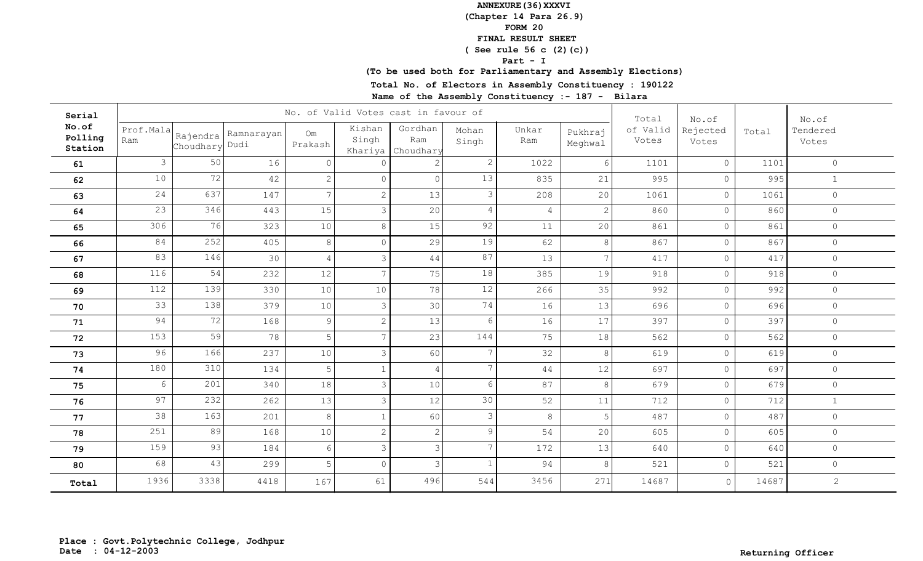**(Chapter 14 Para 26.9)**

**FORM 20**

# **FINAL RESULT SHEET**

 **( See rule 56 c (2)(c))**

**Part - I**

**(To be used both for Parliamentary and Assembly Elections)**

**Total No. of Electors in Assembly Constituency : 190122**

| Serial                      |                  |                |                       |               | No. of Valid Votes cast in favour of |                                     | Total           | No.of          |                    | No.of             |                   |       |                   |
|-----------------------------|------------------|----------------|-----------------------|---------------|--------------------------------------|-------------------------------------|-----------------|----------------|--------------------|-------------------|-------------------|-------|-------------------|
| No.of<br>Polling<br>Station | Prof.Mala<br>Ram | Choudhary Dudi | Rajendra   Ramnarayan | Om<br>Prakash | Kishan<br>Singh                      | Gordhan<br>Ram<br>Khariya Choudhary | Mohan<br>Singh  | Unkar<br>Ram   | Pukhraj<br>Meghwal | of Valid<br>Votes | Rejected<br>Votes | Total | Tendered<br>Votes |
| 61                          | $\mathcal{S}$    | 50             | 16                    | $\Omega$      | $\cap$                               | 2 <sup>1</sup>                      | $\mathbf{2}$    | 1022           | 6                  | 1101              | $\circ$           | 1101  | $\circ$           |
| 62                          | 10               | 72             | 42                    | 2             | $\Omega$                             | $\circ$                             | 13              | 835            | 21                 | 995               | $\circ$           | 995   | $\mathbf 1$       |
| 63                          | 24               | 637            | 147                   | 7             | $\mathbf{2}$                         | 13                                  | 3               | 208            | 20                 | 1061              | $\circ$           | 1061  | $\circledcirc$    |
| 64                          | 23               | 346            | 443                   | 15            | $\mathcal{S}$                        | 20                                  | 4               | $\overline{4}$ | 2                  | 860               | $\circ$           | 860   | $\circledcirc$    |
| 65                          | 306              | 76             | 323                   | 10            | $\,8\,$                              | 15                                  | 92              | 11             | 20                 | 861               | $\circledcirc$    | 861   | $\circ$           |
| 66                          | 84               | 252            | 405                   | 8             | $\Omega$                             | 29                                  | 19              | 62             | 8                  | 867               | $\circ$           | 867   | $\circ$           |
| 67                          | 83               | 146            | 30                    | 4             | 3                                    | 44                                  | 87              | 13             | $\overline{7}$     | 417               | $\overline{0}$    | 417   | $\circledcirc$    |
| 68                          | 116              | 54             | 232                   | 12            | $\overline{7}$                       | 75                                  | 18              | 385            | 19                 | 918               | $\circ$           | 918   | $\circ$           |
| 69                          | 112              | 139            | 330                   | 10            | 10                                   | 78                                  | 12              | 266            | 35                 | 992               | $\circ$           | 992   | $\circ$           |
| 70                          | 33               | 138            | 379                   | 10            | $\mathcal{E}$                        | 30                                  | 74              | 16             | 13                 | 696               | $\circledcirc$    | 696   | $\circledcirc$    |
| 71                          | 94               | 72             | 168                   | 9             | $\overline{c}$                       | 13                                  | 6               | 16             | 17                 | 397               | $\circledcirc$    | 397   | $\circ$           |
| 72                          | 153              | 59             | 78                    | 5             | $\overline{7}$                       | 23                                  | 144             | 75             | 18                 | 562               | $\circ$           | 562   | $\circ$           |
| 73                          | 96               | 166            | 237                   | 10            | $\mathcal{S}$                        | 60                                  | $7\phantom{.}$  | 32             | 8                  | 619               | $\circ$           | 619   | $\circ$           |
| 74                          | 180              | 310            | 134                   | 5             | $\mathbf{1}$                         | $\overline{4}$                      | $7\overline{ }$ | 44             | 12                 | 697               | $\circ$           | 697   | $\circledcirc$    |
| 75                          | 6                | 201            | 340                   | 18            | $\mathcal{S}$                        | 10                                  | 6               | 87             | 8                  | 679               | $\circ$           | 679   | $\circledcirc$    |
| 76                          | 97               | 232            | 262                   | 13            | $\mathfrak{Z}$                       | 12                                  | 30              | 52             | 11                 | 712               | $\circ$           | 712   | $\,1\,$           |
| 77                          | 38               | 163            | 201                   | 8             | $\mathbf{1}$                         | 60                                  | 3               | 8              | 5                  | 487               | $\circ$           | 487   | $\circ$           |
| 78                          | 251              | 89             | 168                   | 10            | $\overline{c}$                       | $2 \mid$                            | 9               | 54             | 20                 | 605               | $\circ$           | 605   | $\circledcirc$    |
| 79                          | 159              | 93             | 184                   | 6             | $\mathfrak{Z}$                       | $\mathcal{E}$                       | $7\phantom{.0}$ | 172            | 13                 | 640               | $\circ$           | 640   | $\circledcirc$    |
| 80                          | 68               | 43             | 299                   | 5             | $\circ$                              | $\mathcal{E}$                       | $\mathbf{1}$    | 94             | 8                  | 521               | $\circ$           | 521   | $\circledcirc$    |
| Total                       | 1936             | 3338           | 4418                  | 167           | 61                                   | 496                                 | 544             | 3456           | 271                | 14687             | $\circ$           | 14687 | $\overline{2}$    |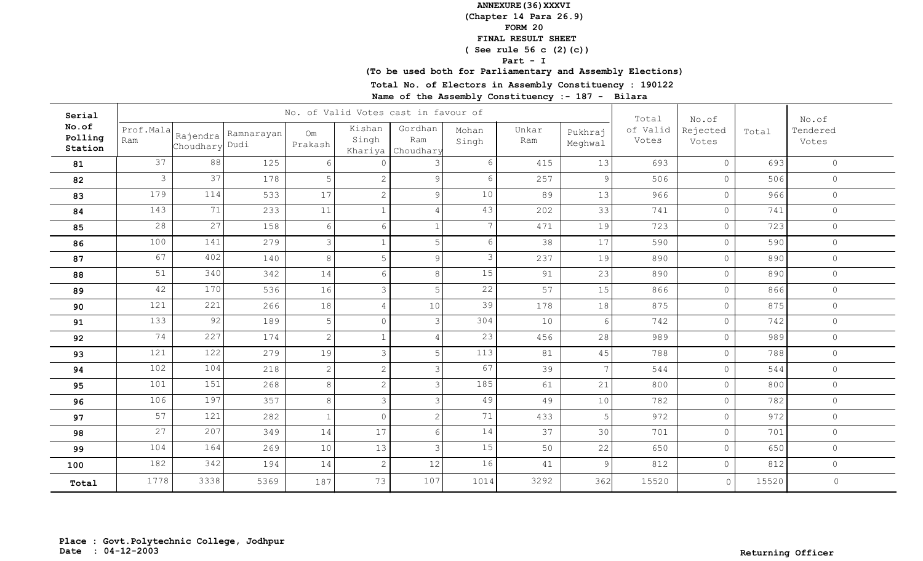**(Chapter 14 Para 26.9)**

**FORM 20**

# **FINAL RESULT SHEET**

 **( See rule 56 c (2)(c))**

**Part - I**

**(To be used both for Parliamentary and Assembly Elections)**

**Total No. of Electors in Assembly Constituency : 190122**

| Serial                      |                  |                |                       |               | No. of Valid Votes cast in favour of |                                     | Total           | No.of        |                    | No.of             |                   |       |                   |
|-----------------------------|------------------|----------------|-----------------------|---------------|--------------------------------------|-------------------------------------|-----------------|--------------|--------------------|-------------------|-------------------|-------|-------------------|
| No.of<br>Polling<br>Station | Prof.Mala<br>Ram | Choudhary Dudi | Rajendra   Ramnarayan | Om<br>Prakash | Kishan<br>Singh                      | Gordhan<br>Ram<br>Khariya Choudhary | Mohan<br>Singh  | Unkar<br>Ram | Pukhraj<br>Meghwal | of Valid<br>Votes | Rejected<br>Votes | Total | Tendered<br>Votes |
| 81                          | 37               | 88             | 125                   | -6            | $\cap$                               | 3                                   | 6               | 415          | 13                 | 693               | $\circ$           | 693   | $\circ$           |
| 82                          | $\mathcal{S}$    | 37             | 178                   | 5             | $\mathbf{2}$                         | $\overline{9}$                      | 6               | 257          | 9                  | 506               | $\circ$           | 506   | $\circledcirc$    |
| 83                          | 179              | 114            | 533                   | 17            | $\mathbf{2}$                         | 9 <sup>°</sup>                      | 10              | 89           | 13                 | 966               | $\circ$           | 966   | $\circledcirc$    |
| 84                          | 143              | 71             | 233                   | $11\,$        | $\mathbf{1}$                         | $\overline{4}$                      | 43              | 202          | 33                 | 741               | $\circ$           | 741   | $\circledcirc$    |
| 85                          | 28               | 27             | 158                   | 6             | $6\,$                                | $\mathbf{1}$                        | $7\phantom{.0}$ | 471          | 19                 | 723               | $\circ$           | 723   | $\circledcirc$    |
| 86                          | 100              | 141            | 279                   | 3             | $\mathbf{1}$                         | 5 <sup>1</sup>                      | 6               | 38           | 17                 | 590               | $\circ$           | 590   | $\circ$           |
| 87                          | 67               | 402            | 140                   | 8             | 5                                    | 9                                   | 3               | 237          | 19                 | 890               | $\overline{0}$    | 890   | $\circledcirc$    |
| 88                          | 51               | 340            | 342                   | 14            | $6\,$                                | $8\,$                               | 15              | 91           | 23                 | 890               | $\circ$           | 890   | $\circ$           |
| 89                          | 42               | 170            | 536                   | 16            | $\mathfrak{Z}$                       | 5 <sup>1</sup>                      | 22              | 57           | 15                 | 866               | $\circ$           | 866   | $\circ$           |
| 90                          | 121              | 221            | 266                   | 18            | $\overline{4}$                       | 10                                  | 39              | 178          | 18                 | 875               | $\circledcirc$    | 875   | $\circ$           |
| 91                          | 133              | 92             | 189                   | 5             | $\circ$                              | $\mathcal{E}$                       | 304             | 10           | 6                  | 742               | $\circ$           | 742   | $\circ$           |
| 92                          | 74               | 227            | 174                   | 2             | $1\,$                                | $\overline{4}$                      | 23              | 456          | 28                 | 989               | $\circ$           | 989   | $\circ$           |
| 93                          | 121              | 122            | 279                   | 19            | $\mathcal{S}$                        | 5 <sup>1</sup>                      | 113             | 81           | 45                 | 788               | $\circ$           | 788   | $\circ$           |
| 94                          | 102              | 104            | 218                   | 2             | $\overline{c}$                       | $\mathcal{E}$                       | 67              | 39           | $\overline{7}$     | 544               | $\circ$           | 544   | $\circ$           |
| 95                          | 101              | 151            | 268                   | 8             | 2                                    | $\overline{3}$                      | 185             | 61           | 21                 | 800               | $\circ$           | 800   | $\circ$           |
| 96                          | 106              | 197            | 357                   | 8             | $\mathfrak{Z}$                       | $\mathcal{E}$                       | 49              | 49           | 10                 | 782               | $\circ$           | 782   | $\circledcirc$    |
| 97                          | 57               | 121            | 282                   | $\mathbf{1}$  | $\circ$                              | $\overline{2}$                      | 71              | 433          | 5                  | 972               | $\circ$           | 972   | $\circ$           |
| 98                          | 27               | 207            | 349                   | 14            | 17                                   | $6 \overline{6}$                    | 14              | 37           | 30                 | 701               | $\overline{0}$    | 701   | $\circledcirc$    |
| 99                          | 104              | 164            | 269                   | 10            | 13                                   | $\mathcal{E}$                       | 15              | 50           | 22                 | 650               | $\circ$           | 650   | $\circledcirc$    |
| 100                         | 182              | 342            | 194                   | 14            | $\overline{c}$                       | 12                                  | 16              | 41           | 9                  | 812               | $\circ$           | 812   | $\circledcirc$    |
| Total                       | 1778             | 3338           | 5369                  | 187           | 73                                   | 107                                 | 1014            | 3292         | 362                | 15520             | $\circ$           | 15520 | $\circ$           |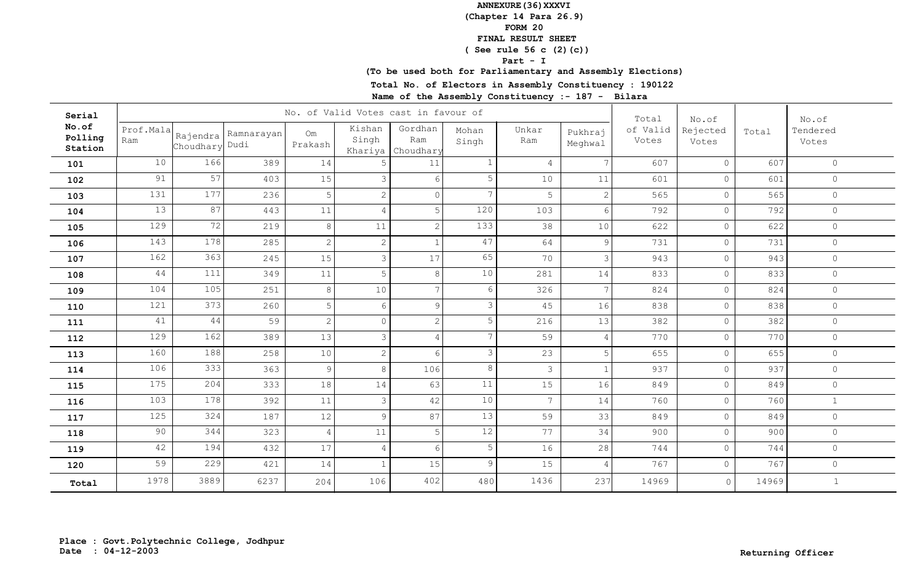**(Chapter 14 Para 26.9)**

**FORM 20**

# **FINAL RESULT SHEET**

 **( See rule 56 c (2)(c))**

**Part - I**

**(To be used both for Parliamentary and Assembly Elections)**

**Total No. of Electors in Assembly Constituency : 190122**

| Serial                      |                  |                |                       |                | No. of Valid Votes cast in favour of |                             | Total           | No.of           |                    | No.of             |                   |       |                   |
|-----------------------------|------------------|----------------|-----------------------|----------------|--------------------------------------|-----------------------------|-----------------|-----------------|--------------------|-------------------|-------------------|-------|-------------------|
| No.of<br>Polling<br>Station | Prof.Mala<br>Ram | Choudhary Dudi | Rajendra   Ramnarayan | Om<br>Prakash  | Kishan<br>Singh<br>Khariya           | Gordhan<br>Ram<br>Choudhary | Mohan<br>Singh  | Unkar<br>Ram    | Pukhraj<br>Meghwal | of Valid<br>Votes | Rejected<br>Votes | Total | Tendered<br>Votes |
| 101                         | 10               | 166            | 389                   | 14             | -5                                   | 11                          | $\mathbf 1$     | $4\overline{ }$ | $\overline{7}$     | 607               | $\circ$           | 607   | $\circ$           |
| 102                         | 91               | 57             | 403                   | 15             | 3                                    | $6 \overline{6}$            | 5               | 10              | 11                 | 601               | $\circledcirc$    | 601   | $\circ$           |
| 103                         | 131              | 177            | 236                   | 5              | $\mathbf{2}$                         | $\circ$                     | $7\phantom{.0}$ | 5               | $\overline{2}$     | 565               | $\circ$           | 565   | $\circ$           |
| 104                         | 13               | 87             | 443                   | 11             | $\overline{4}$                       | 5 <sup>1</sup>              | 120             | 103             | 6                  | 792               | $\circ$           | 792   | $\circ$           |
| 105                         | 129              | 72             | 219                   | 8              | 11                                   | $\overline{2}$              | 133             | 38              | 10                 | 622               | $\circ$           | 622   | $\circ$           |
| 106                         | 143              | 178            | 285                   | 2              | $\mathbf{2}$                         | $\mathbf{1}$                | 47              | 64              | 9                  | 731               | $\circ$           | 731   | $\circ$           |
| 107                         | 162              | 363            | 245                   | 15             | $\mathcal{S}$                        | 17                          | 65              | 70              | 3                  | 943               | $\circ$           | 943   | $\circ$           |
| 108                         | 44               | 111            | 349                   | 11             | 5                                    | 8                           | 10              | 281             | 14                 | 833               | $\circ$           | 833   | $\circ$           |
| 109                         | 104              | 105            | 251                   | 8              | 10                                   | 7 <sup>1</sup>              | 6               | 326             | $\overline{7}$     | 824               | $\circ$           | 824   | $\circ$           |
| 110                         | 121              | 373            | 260                   | 5              | 6                                    | 9 <sup>°</sup>              | 3               | 45              | 16                 | 838               | $\circledcirc$    | 838   | $\circ$           |
| 111                         | 41               | 44             | 59                    | $\mathbf{2}$   | $\circ$                              | $\overline{2}$              | 5               | 216             | 13                 | 382               | $\circ$           | 382   | $\circ$           |
| 112                         | 129              | 162            | 389                   | 13             | $\mathcal{E}$                        | $\overline{4}$              | $7\phantom{.0}$ | 59              | 4                  | 770               | $\circ$           | 770   | $\circ$           |
| 113                         | 160              | 188            | 258                   | 10             | $\overline{c}$                       | $6 \overline{6}$            | 3               | 23              | 5                  | 655               | $\circledcirc$    | 655   | $\circ$           |
| 114                         | 106              | 333            | 363                   | 9              | 8                                    | 106                         | 8               | $\mathcal{S}$   |                    | 937               | $\circ$           | 937   | $\circ$           |
| 115                         | 175              | 204            | 333                   | 18             | 14                                   | 63                          | 11              | 15              | 16                 | 849               | $\circ$           | 849   | $\circ$           |
| 116                         | 103              | 178            | 392                   | $11$           | $\mathfrak{Z}$                       | 42                          | 10              | 7 <sup>7</sup>  | 14                 | 760               | $\circ$           | 760   | $\mathbf{1}$      |
| 117                         | 125              | 324            | 187                   | 12             | $\mathsf 9$                          | 87                          | 13              | 59              | 33                 | 849               | $\circ$           | 849   | $\circledcirc$    |
| 118                         | 90               | 344            | 323                   | $\overline{4}$ | 11                                   | $5\phantom{.}$              | $12$            | 77              | 34                 | 900               | $\overline{0}$    | 900   | $\circledcirc$    |
| 119                         | 42               | 194            | 432                   | 17             | $\overline{4}$                       | $6 \overline{6}$            | 5               | 16              | 28                 | 744               | $\circ$           | 744   | $\circ$           |
| 120                         | 59               | 229            | 421                   | 14             | $\mathbf{1}$                         | 15                          | 9               | 15              | $\overline{4}$     | 767               | $\circ$           | 767   | $\circledcirc$    |
| Total                       | 1978             | 3889           | 6237                  | 204            | 106                                  | 402                         | 480             | 1436            | 237                | 14969             | $\circ$           | 14969 | $\mathbf{1}$      |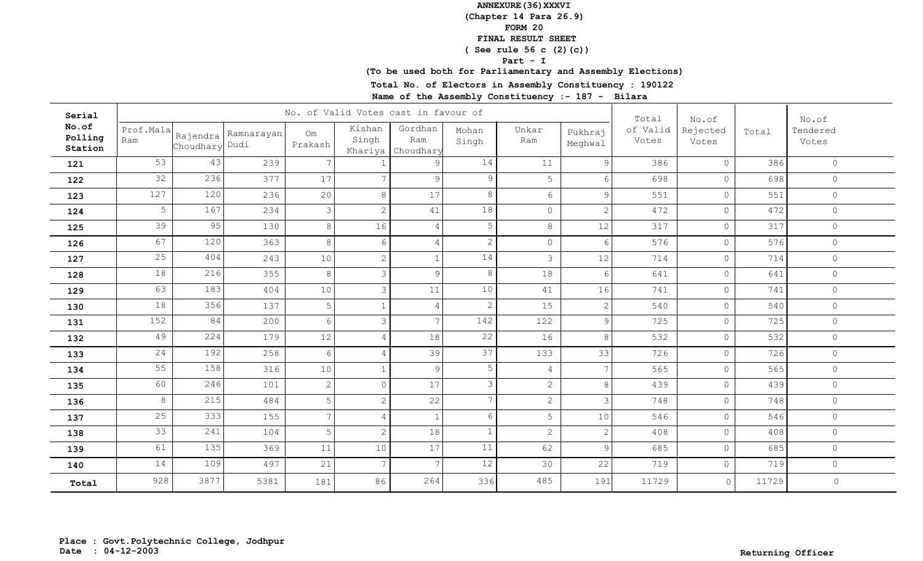**(Chapter 14 Para 26.9)**

**FORM 20**

# **FINAL RESULT SHEET**

 **( See rule 56 c (2)(c))**

**Part - I**

**(To be used both for Parliamentary and Assembly Elections)**

**Total No. of Electors in Assembly Constituency : 190122**

| Serial                      |                  |                |                       |               | No. of Valid Votes cast in favour of |                             | Total           | No.of           |                    | No.of             |                   |       |                   |
|-----------------------------|------------------|----------------|-----------------------|---------------|--------------------------------------|-----------------------------|-----------------|-----------------|--------------------|-------------------|-------------------|-------|-------------------|
| No.of<br>Polling<br>Station | Prof.Mala<br>Ram | Choudhary Dudi | Rajendra   Ramnarayan | Om<br>Prakash | Kishan<br>Singh<br>Khariya           | Gordhan<br>Ram<br>Choudhary | Mohan<br>Singh  | Unkar<br>Ram    | Pukhraj<br>Meghwal | of Valid<br>Votes | Rejected<br>Votes | Total | Tendered<br>Votes |
| 121                         | 53               | 43             | 239                   | 7             |                                      | 9 <sup>°</sup>              | 14              | 11              | 9                  | 386               | $\circ$           | 386   | $\circ$           |
| 122                         | 32               | 236            | 377                   | 17            | $\overline{7}$                       | 9 <sup>1</sup>              | 9               | 5               | 6                  | 698               | $\circ$           | 698   | $\circledcirc$    |
| 123                         | 127              | 120            | 236                   | 20            | $8\,$                                | 17                          | 8               | $6\overline{6}$ | 9                  | 551               | $\circ$           | 551   | $\circledcirc$    |
| 124                         | 5                | 167            | 234                   | 3             | $\sqrt{2}$                           | 41                          | 18              | $\circ$         | $\overline{2}$     | 472               | $\mathsf{O}$      | 472   | $\circledcirc$    |
| 125                         | 39               | 95             | 130                   | 8             | 16                                   | $\overline{4}$              | 5               | 8               | 12                 | 317               | $\mathsf{O}$      | 317   | $\circledcirc$    |
| 126                         | 67               | 120            | 363                   | 8             | 6                                    | $\overline{4}$              | $\mathbf{2}$    | $\circ$         | 6                  | 576               | $\mathsf{O}$      | 576   | $\circledcirc$    |
| 127                         | 25               | 404            | 243                   | 10            | $\mathbf{2}$                         | $\mathbf{1}$                | 14              | $\mathcal{S}$   | 12                 | 714               | $\circ$           | 714   | $\circledcirc$    |
| 128                         | 18               | 216            | 355                   | 8             | $\mathfrak{Z}$                       | 9 <sup>°</sup>              | 8               | 18              | 6                  | 641               | $\circ$           | 641   | $\circledcirc$    |
| 129                         | 63               | 183            | 404                   | $10$          | $\mathfrak{Z}$                       | 11                          | $10$            | 41              | 16                 | 741               | $\circ$           | 741   | $\circ$           |
| 130                         | 18               | 356            | 137                   | 5             | $\mathbf{1}$                         | $\overline{4}$              | $\mathbf{2}$    | 15              | $\overline{2}$     | 540               | $\circ$           | 540   | $\circ$           |
| 131                         | 152              | 84             | 200                   | 6             | $\mathcal{E}$                        | 7 <sup>1</sup>              | 142             | 122             | $\mathcal{Q}$      | 725               | $\circ$           | 725   | $\circ$           |
| 132                         | 49               | 224            | 179                   | 12            | $\overline{4}$                       | 18                          | 22              | 16              | 8                  | 532               | $\circ$           | 532   | $\circ$           |
| 133                         | 24               | 192            | 258                   | 6             | $\overline{4}$                       | 39                          | 37              | 133             | 33                 | 726               | $\circ$           | 726   | $\circ$           |
| 134                         | 55               | 158            | 316                   | 10            | $\mathbf{1}$                         | 9                           | 5               | $\overline{4}$  | $7\phantom{.0}$    | 565               | $\circ$           | 565   | $\circ$           |
| 135                         | 60               | 246            | 101                   | 2             | $\circ$                              | 17                          | 3               | $\mathbf{2}$    | 8                  | 439               | $\mathsf{O}$      | 439   | $\circ$           |
| 136                         | 8                | 215            | 484                   | 5             | $\sqrt{2}$                           | 22                          | $7\overline{ }$ | $\mathbf{2}$    | 3                  | 748               | $\mathbb O$       | 748   | $\circ$           |
| 137                         | 25               | 333            | 155                   | 7             | $\overline{4}$                       | 1                           | 6               | 5               | 10                 | 546               | $\mathsf{O}$      | 546   | $\circledcirc$    |
| 138                         | 33               | 241            | 104                   | 5             | $\overline{c}$                       | 18                          | $\mathbf{1}$    | $\overline{2}$  | 2                  | 408               | $\mathsf{O}$      | 408   | $\circ$           |
| 139                         | 61               | 135            | 369                   | 11            | 10                                   | 17                          | 11              | 62              | 9                  | 685               | $\circ$           | 685   | $\circ$           |
| 140                         | 14               | 109            | 497                   | 21            | $7\phantom{.0}$                      | 7 <sup>1</sup>              | 12              | 30              | 22                 | 719               | $\mathsf{O}$      | 719   | $\circledcirc$    |
| Total                       | 928              | 3877           | 5381                  | 181           | 86                                   | 264                         | 336             | 485             | 191                | 11729             | $\circ$           | 11729 | $\circ$           |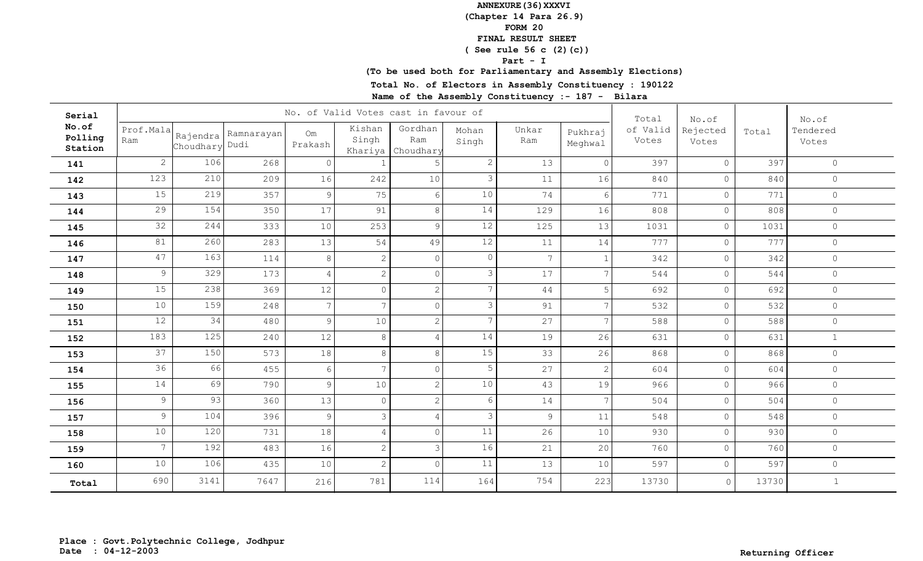**(Chapter 14 Para 26.9)**

**FORM 20**

# **FINAL RESULT SHEET**

 **( See rule 56 c (2)(c))**

**Part - I**

**(To be used both for Parliamentary and Assembly Elections)**

**Total No. of Electors in Assembly Constituency : 190122**

| Serial                      |                  |                |                       |                | No. of Valid Votes cast in favour of |                             | Total           | No.of        |                    | No.of             |                   |       |                   |
|-----------------------------|------------------|----------------|-----------------------|----------------|--------------------------------------|-----------------------------|-----------------|--------------|--------------------|-------------------|-------------------|-------|-------------------|
| No.of<br>Polling<br>Station | Prof.Mala<br>Ram | Choudhary Dudi | Rajendra   Ramnarayan | Om<br>Prakash  | Kishan<br>Singh<br>Khariya           | Gordhan<br>Ram<br>Choudhary | Mohan<br>Singh  | Unkar<br>Ram | Pukhraj<br>Meghwal | of Valid<br>Votes | Rejected<br>Votes | Total | Tendered<br>Votes |
| 141                         | $\overline{2}$   | 106            | 268                   | $\overline{0}$ |                                      | 5                           | $\mathbf{2}$    | 13           | $\circ$            | 397               | $\circ$           | 397   | $\circ$           |
| 142                         | 123              | 210            | 209                   | 16             | 242                                  | 10                          | 3               | 11           | 16                 | 840               | $\circ$           | 840   | $\circ$           |
| 143                         | 15               | 219            | 357                   | 9              | 75                                   | 6                           | 10              | 74           | 6                  | 771               | $\circ$           | 771   | $\circ$           |
| 144                         | 29               | 154            | 350                   | 17             | 91                                   | $8\,$                       | 14              | 129          | 16                 | 808               | $\circ$           | 808   | $\circ$           |
| 145                         | 32               | 244            | 333                   | 10             | 253                                  | 9 <sup>°</sup>              | 12              | 125          | 13                 | 1031              | $\circ$           | 1031  | $\circ$           |
| 146                         | 81               | 260            | 283                   | 13             | 54                                   | 49                          | 12              | 11           | 14                 | 777               | $\circ$           | 777   | $\circ$           |
| 147                         | 47               | 163            | 114                   | 8              | $\overline{2}$                       | $\circ$                     | $\circ$         | $7^{\circ}$  |                    | 342               | $\circledcirc$    | 342   | $\circ$           |
| 148                         | 9                | 329            | 173                   | $\overline{4}$ | $\mathbf{2}$                         | $\circ$                     | 3               | 17           |                    | 544               | $\circ$           | 544   | $\circ$           |
| 149                         | 15               | 238            | 369                   | 12             | $\Omega$                             | $\overline{2}$              | $7\overline{ }$ | 44           | 5                  | 692               | $\circ$           | 692   | $\circ$           |
| 150                         | 10               | 159            | 248                   | 7              | 7                                    | $\circ$                     | 3               | 91           | $\overline{7}$     | 532               | $\circledcirc$    | 532   | $\circledcirc$    |
| 151                         | 12               | 34             | 480                   | 9              | 10                                   | $\overline{2}$              | $7\overline{ }$ | 27           | $\overline{7}$     | 588               | $\circ$           | 588   | $\circ$           |
| 152                         | 183              | 125            | 240                   | 12             | 8                                    | $\overline{4}$              | 14              | 19           | 26                 | 631               | $\circ$           | 631   | $\mathbf{1}$      |
| 153                         | 37               | 150            | 573                   | 18             | 8                                    | $8\,$                       | 15              | 33           | 26                 | 868               | $\circledcirc$    | 868   | $\circ$           |
| 154                         | 36               | 66             | 455                   | 6              | 7                                    | $\circ$                     | 5               | 27           | 2                  | 604               | $\circ$           | 604   | $\circ$           |
| 155                         | 14               | 69             | 790                   | 9              | 10                                   | $\overline{2}$              | 10              | 43           | 19                 | 966               | $\circ$           | 966   | $\circledcirc$    |
| 156                         | $\mathcal{G}$    | 93             | 360                   | 13             | $\circledcirc$                       | $\vert$ 2                   | 6               | 14           | $\overline{7}$     | 504               | $\circ$           | 504   | $\circledcirc$    |
| 157                         | $\overline{9}$   | 104            | 396                   | 9              | $\mathfrak{Z}$                       | $\overline{4}$              | 3               | 9            | 11                 | 548               | $\circ$           | 548   | $\circledcirc$    |
| 158                         | 10               | 120            | 731                   | 18             | $\overline{4}$                       | $\circ$                     | 11              | 26           | 10                 | 930               | $\overline{0}$    | 930   | $\circledcirc$    |
| 159                         | $7\overline{ }$  | 192            | 483                   | 16             | $\mathbf{2}$                         | $\mathcal{E}$               | 16              | 21           | 20                 | 760               | $\circ$           | 760   | $\circledcirc$    |
| 160                         | 10               | 106            | 435                   | 10             | $\overline{c}$                       | $\circ$                     | 11              | 13           | 10                 | 597               | $\circ$           | 597   | $\circledcirc$    |
| Total                       | 690              | 3141           | 7647                  | 216            | 781                                  | 114                         | 164             | 754          | 223                | 13730             | $\circ$           | 13730 | $\mathbf{1}$      |